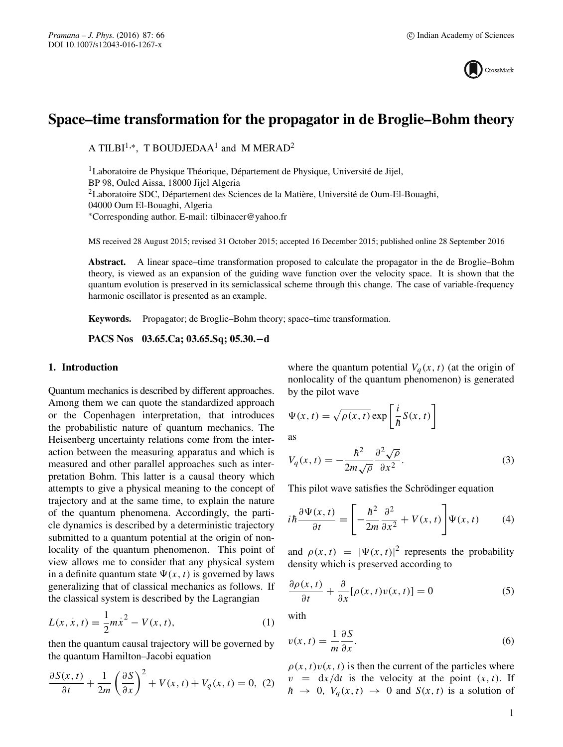

# **Space–time transformation for the propagator in de Broglie–Bohm theory**

A TILBI<sup>1,\*</sup>, T BOUDJEDAA<sup>1</sup> and M MERAD<sup>2</sup>

<sup>1</sup>Laboratoire de Physique Théorique, Département de Physique, Université de Jijel, BP 98, Ouled Aissa, 18000 Jijel Algeria 2Laboratoire SDC, Département des Sciences de la Matière, Université de Oum-El-Bouaghi, 04000 Oum El-Bouaghi, Algeria ∗Corresponding author. E-mail: tilbinacer@yahoo.fr

MS received 28 August 2015; revised 31 October 2015; accepted 16 December 2015; published online 28 September 2016

**Abstract.** A linear space–time transformation proposed to calculate the propagator in the de Broglie–Bohm theory, is viewed as an expansion of the guiding wave function over the velocity space. It is shown that the quantum evolution is preserved in its semiclassical scheme through this change. The case of variable-frequency harmonic oscillator is presented as an example.

**Keywords.** Propagator; de Broglie–Bohm theory; space–time transformation.

**PACS Nos 03.65.Ca; 03.65.Sq; 05.30.−d**

#### **1. Introduction**

Quantum mechanics is described by different approaches. Among them we can quote the standardized approach or the Copenhagen interpretation, that introduces the probabilistic nature of quantum mechanics. The Heisenberg uncertainty relations come from the interaction between the measuring apparatus and which is measured and other parallel approaches such as interpretation Bohm. This latter is a causal theory which attempts to give a physical meaning to the concept of trajectory and at the same time, to explain the nature of the quantum phenomena. Accordingly, the particle dynamics is described by a deterministic trajectory submitted to a quantum potential at the origin of nonlocality of the quantum phenomenon. This point of view allows me to consider that any physical system in a definite quantum state  $\Psi(x, t)$  is governed by laws generalizing that of classical mechanics as follows. If the classical system is described by the Lagrangian

$$
L(x, \dot{x}, t) = \frac{1}{2}m\dot{x}^{2} - V(x, t),
$$
 (1)

then the quantum causal trajectory will be governed by the quantum Hamilton–Jacobi equation

$$
\frac{\partial S(x,t)}{\partial t} + \frac{1}{2m} \left(\frac{\partial S}{\partial x}\right)^2 + V(x,t) + V_q(x,t) = 0, (2)
$$

where the quantum potential  $V_q(x, t)$  (at the origin of nonlocality of the quantum phenomenon) is generated by the pilot wave

$$
\Psi(x, t) = \sqrt{\rho(x, t)} \exp\left[\frac{i}{\hbar}S(x, t)\right]
$$

as

$$
V_q(x,t) = -\frac{\hbar^2}{2m\sqrt{\rho}} \frac{\partial^2 \sqrt{\rho}}{\partial x^2}.
$$
 (3)

This pilot wave satisfies the Schrödinger equation

$$
i\hbar \frac{\partial \Psi(x,t)}{\partial t} = \left[ -\frac{\hbar^2}{2m} \frac{\partial^2}{\partial x^2} + V(x,t) \right] \Psi(x,t) \tag{4}
$$

and  $\rho(x, t) = |\Psi(x, t)|^2$  represents the probability density which is preserved according to

$$
\frac{\partial \rho(x,t)}{\partial t} + \frac{\partial}{\partial x} [\rho(x,t)v(x,t)] = 0 \tag{5}
$$

with

$$
v(x,t) = \frac{1}{m} \frac{\partial S}{\partial x}.
$$
\n<sup>(6)</sup>

 $\rho(x, t)v(x, t)$  is then the current of the particles where  $v = dx/dt$  is the velocity at the point  $(x, t)$ . If  $\hbar \rightarrow 0$ ,  $V_a(x, t) \rightarrow 0$  and  $S(x, t)$  is a solution of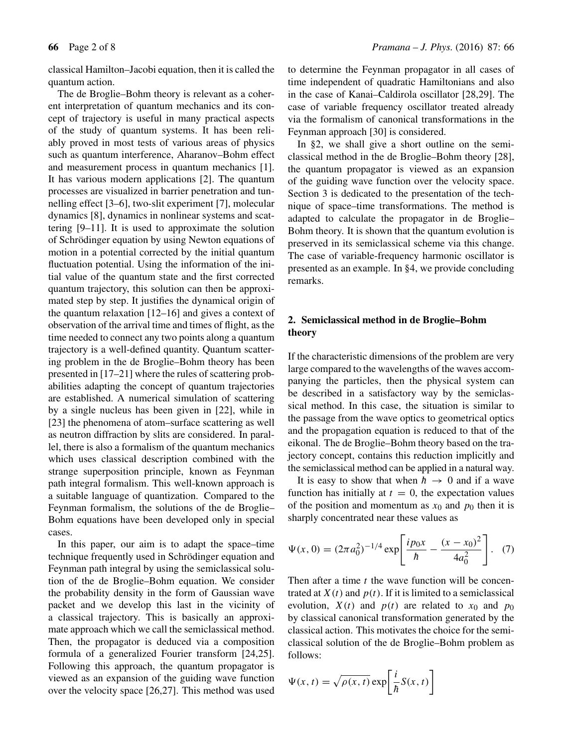The de Broglie–Bohm theory is relevant as a coherent interpretation of quantum mechanics and its concept of trajectory is useful in many practical aspects of the study of quantum systems. It has been reliably proved in most tests of various areas of physics such as quantum interference, Aharanov–Bohm effect and measurement process in quantum mechanics [1]. It has various modern applications [2]. The quantum processes are visualized in barrier penetration and tunnelling effect [3–6], two-slit experiment [7], molecular dynamics [8], dynamics in nonlinear systems and scattering [9–11]. It is used to approximate the solution of Schrödinger equation by using Newton equations of motion in a potential corrected by the initial quantum fluctuation potential. Using the information of the initial value of the quantum state and the first corrected quantum trajectory, this solution can then be approximated step by step. It justifies the dynamical origin of the quantum relaxation [12–16] and gives a context of observation of the arrival time and times of flight, as the time needed to connect any two points along a quantum trajectory is a well-defined quantity. Quantum scattering problem in the de Broglie–Bohm theory has been presented in [17–21] where the rules of scattering probabilities adapting the concept of quantum trajectories are established. A numerical simulation of scattering by a single nucleus has been given in [22], while in [23] the phenomena of atom–surface scattering as well as neutron diffraction by slits are considered. In parallel, there is also a formalism of the quantum mechanics which uses classical description combined with the strange superposition principle, known as Feynman path integral formalism. This well-known approach is a suitable language of quantization. Compared to the Feynman formalism, the solutions of the de Broglie– Bohm equations have been developed only in special cases.

In this paper, our aim is to adapt the space–time technique frequently used in Schrödinger equation and Feynman path integral by using the semiclassical solution of the de Broglie–Bohm equation. We consider the probability density in the form of Gaussian wave packet and we develop this last in the vicinity of a classical trajectory. This is basically an approximate approach which we call the semiclassical method. Then, the propagator is deduced via a composition formula of a generalized Fourier transform [24,25]. Following this approach, the quantum propagator is viewed as an expansion of the guiding wave function over the velocity space [26,27]. This method was used

**66** Page 2 of 8 *Pramana – J. Phys.* (2016) 87: 66

to determine the Feynman propagator in all cases of time independent of quadratic Hamiltonians and also in the case of Kanai–Caldirola oscillator [28,29]. The case of variable frequency oscillator treated already via the formalism of canonical transformations in the Feynman approach [30] is considered.

In §2, we shall give a short outline on the semiclassical method in the de Broglie–Bohm theory [28], the quantum propagator is viewed as an expansion of the guiding wave function over the velocity space. Section 3 is dedicated to the presentation of the technique of space–time transformations. The method is adapted to calculate the propagator in de Broglie– Bohm theory. It is shown that the quantum evolution is preserved in its semiclassical scheme via this change. The case of variable-frequency harmonic oscillator is presented as an example. In §4, we provide concluding remarks.

## **2. Semiclassical method in de Broglie–Bohm theory**

If the characteristic dimensions of the problem are very large compared to the wavelengths of the waves accompanying the particles, then the physical system can be described in a satisfactory way by the semiclassical method. In this case, the situation is similar to the passage from the wave optics to geometrical optics and the propagation equation is reduced to that of the eikonal. The de Broglie–Bohm theory based on the trajectory concept, contains this reduction implicitly and the semiclassical method can be applied in a natural way.

It is easy to show that when  $\hbar \rightarrow 0$  and if a wave function has initially at  $t = 0$ , the expectation values of the position and momentum as  $x_0$  and  $p_0$  then it is sharply concentrated near these values as

$$
\Psi(x, 0) = (2\pi a_0^2)^{-1/4} \exp\left[\frac{ip_0 x}{\hbar} - \frac{(x - x_0)^2}{4a_0^2}\right].
$$
 (7)

Then after a time  $t$  the wave function will be concentrated at  $X(t)$  and  $p(t)$ . If it is limited to a semiclassical evolution,  $X(t)$  and  $p(t)$  are related to  $x_0$  and  $p_0$ by classical canonical transformation generated by the classical action. This motivates the choice for the semiclassical solution of the de Broglie–Bohm problem as follows:

$$
\Psi(x, t) = \sqrt{\rho(x, t)} \exp\left[\frac{i}{\hbar}S(x, t)\right]
$$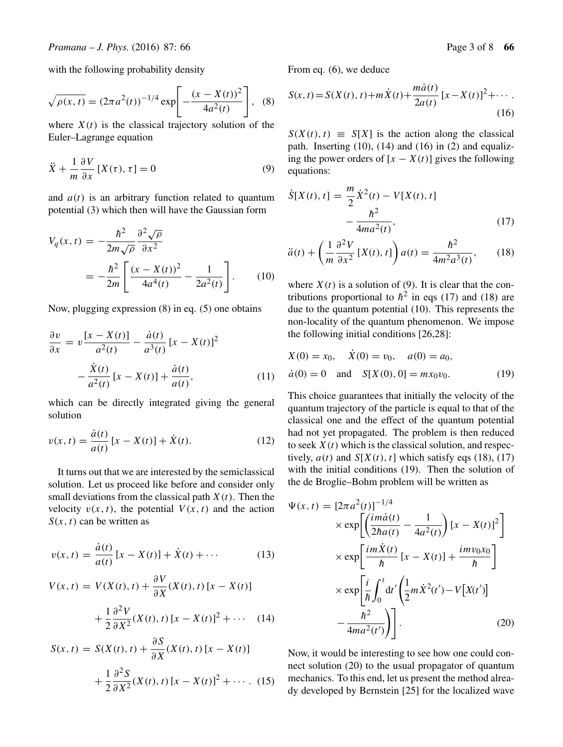with the following probability density

$$
\sqrt{\rho(x,t)} = (2\pi a^2(t))^{-1/4} \exp\left[-\frac{(x-X(t))^2}{4a^2(t)}\right], \quad (8)
$$

where  $X(t)$  is the classical trajectory solution of the Euler–Lagrange equation

$$
\ddot{X} + \frac{1}{m} \frac{\partial V}{\partial x} [X(\tau), \tau] = 0 \tag{9}
$$

and  $a(t)$  is an arbitrary function related to quantum potential (3) which then will have the Gaussian form

$$
V_q(x,t) = -\frac{\hbar^2}{2m\sqrt{\rho}} \frac{\partial^2 \sqrt{\rho}}{\partial x^2}
$$
  
= 
$$
-\frac{\hbar^2}{2m} \left[ \frac{(x - X(t))^2}{4a^4(t)} - \frac{1}{2a^2(t)} \right].
$$
 (10)

Now, plugging expression (8) in eq. (5) one obtains

$$
\frac{\partial v}{\partial x} = v \frac{[x - X(t)]}{a^2(t)} - \frac{\dot{a}(t)}{a^3(t)} [x - X(t)]^2
$$

$$
- \frac{\dot{X}(t)}{a^2(t)} [x - X(t)] + \frac{\dot{a}(t)}{a(t)}, \qquad (11)
$$

which can be directly integrated giving the general solution

$$
v(x,t) = \frac{\dot{a}(t)}{a(t)} [x - X(t)] + \dot{X}(t).
$$
 (12)

It turns out that we are interested by the semiclassical solution. Let us proceed like before and consider only small deviations from the classical path  $X(t)$ . Then the velocity  $v(x, t)$ , the potential  $V(x, t)$  and the action  $S(x, t)$  can be written as

$$
v(x, t) = \frac{\dot{a}(t)}{a(t)} [x - X(t)] + \dot{X}(t) + \cdots
$$
 (13)

$$
V(x, t) = V(X(t), t) + \frac{\partial V}{\partial X}(X(t), t) [x - X(t)]
$$
  
+ 
$$
\frac{1}{2} \frac{\partial^2 V}{\partial X^2}(X(t), t) [x - X(t)]^2 + \cdots
$$
 (14)

$$
S(x, t) = S(X(t), t) + \frac{\partial S}{\partial X}(X(t), t) [x - X(t)]
$$
  
+ 
$$
\frac{1}{2} \frac{\partial^2 S}{\partial X^2}(X(t), t) [x - X(t)]^2 + \cdots
$$
 (15)

From eq. (6), we deduce

$$
S(x,t) = S(X(t), t) + m\dot{X}(t) + \frac{m\dot{a}(t)}{2a(t)} [x - X(t)]^{2} + \cdots
$$
\n(16)

 $S(X(t), t) \equiv S[X]$  is the action along the classical path. Inserting  $(10)$ ,  $(14)$  and  $(16)$  in  $(2)$  and equalizing the power orders of  $[x - X(t)]$  gives the following equations:

$$
\dot{S}[X(t), t] = \frac{m}{2} \dot{X}^{2}(t) - V[X(t), t] - \frac{\hbar^{2}}{4ma^{2}(t)},
$$
\n(17)

$$
\ddot{a}(t) + \left(\frac{1}{m}\frac{\partial^2 V}{\partial x^2} \left[X(t), t\right]\right) a(t) = \frac{\hbar^2}{4m^2 a^3(t)},\qquad(18)
$$

where  $X(t)$  is a solution of (9). It is clear that the contributions proportional to  $\hbar^2$  in eqs (17) and (18) are due to the quantum potential (10). This represents the non-locality of the quantum phenomenon. We impose the following initial conditions [26,28]:

$$
X(0) = x_0, \quad \dot{X}(0) = v_0, \quad a(0) = a_0,
$$
  
\n
$$
\dot{a}(0) = 0 \quad \text{and} \quad S[X(0), 0] = mx_0v_0.
$$
\n(19)

This choice guarantees that initially the velocity of the quantum trajectory of the particle is equal to that of the classical one and the effect of the quantum potential had not yet propagated. The problem is then reduced to seek  $X(t)$  which is the classical solution, and respectively,  $a(t)$  and  $S[X(t), t]$  which satisfy eqs (18), (17) with the initial conditions (19). Then the solution of the de Broglie–Bohm problem will be written as

$$
\Psi(x,t) = \left[2\pi a^2(t)\right]^{-1/4}
$$
  
\n
$$
\times \exp\left[\left(\frac{im\dot{a}(t)}{2\hbar a(t)} - \frac{1}{4a^2(t)}\right)[x - X(t)]^2\right]
$$
  
\n
$$
\times \exp\left[\frac{im\dot{X}(t)}{\hbar}[x - X(t)] + \frac{imv_0x_0}{\hbar}\right]
$$
  
\n
$$
\times \exp\left[\frac{i}{\hbar}\int_0^t dt'\left(\frac{1}{2}m\dot{X}^2(t') - V[X(t')]\right)
$$
  
\n
$$
-\frac{\hbar^2}{4ma^2(t')}\right)\right].
$$
\n(20)

Now, it would be interesting to see how one could connect solution (20) to the usual propagator of quantum mechanics. To this end, let us present the method already developed by Bernstein [25] for the localized wave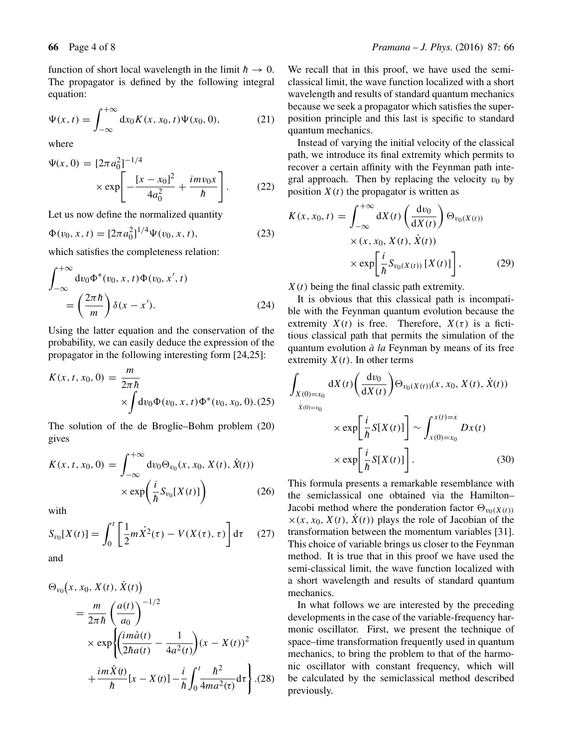function of short local wavelength in the limit  $\hbar \rightarrow 0$ . The propagator is defined by the following integral equation:

$$
\Psi(x,t) = \int_{-\infty}^{+\infty} dx_0 K(x,x_0,t)\Psi(x_0,0),
$$
 (21)

where

$$
\Psi(x, 0) = [2\pi a_0^2]^{-1/4}
$$
  
 
$$
\times \exp\left[-\frac{[x - x_0]^2}{4a_0^2} + \frac{imv_0x}{\hbar}\right].
$$
 (22)

Let us now define the normalized quantity

$$
\Phi(v_0, x, t) = [2\pi a_0^2]^{1/4} \Psi(v_0, x, t), \qquad (23)
$$

which satisfies the completeness relation:

$$
\int_{-\infty}^{+\infty} dv_0 \Phi^*(v_0, x, t) \Phi(v_0, x', t)
$$
  
= 
$$
\left(\frac{2\pi \hbar}{m}\right) \delta(x - x').
$$
 (24)

Using the latter equation and the conservation of the probability, we can easily deduce the expression of the propagator in the following interesting form [24,25]:

$$
K(x, t, x_0, 0) = \frac{m}{2\pi\hbar} \times \int dv_0 \Phi(v_0, x, t) \Phi^*(v_0, x_0, 0). (25)
$$

The solution of the de Broglie–Bohm problem (20) gives

$$
K(x, t, x_0, 0) = \int_{-\infty}^{+\infty} dv_0 \Theta_{v_0}(x, x_0, X(t), \dot{X}(t))
$$

$$
\times \exp\left(\frac{i}{\hbar} S_{v_0}[X(t)]\right) \tag{26}
$$

with

$$
S_{v_0}[X(t)] = \int_0^t \left[\frac{1}{2}m\dot{X}^2(\tau) - V(X(\tau), \tau)\right]d\tau \quad (27)
$$

and

$$
\Theta_{v_0}(x, x_0, X(t), \dot{X}(t))
$$
\n
$$
= \frac{m}{2\pi\hbar} \left(\frac{a(t)}{a_0}\right)^{-1/2}
$$
\n
$$
\times \exp\left\{\left(\frac{im\dot{a}(t)}{2\hbar a(t)} - \frac{1}{4a^2(t)}\right)(x - X(t))^2 + \frac{im\dot{X}(t)}{\hbar} [x - X(t)] - \frac{i}{\hbar} \int_0^t \frac{\hbar^2}{4ma^2(\tau)} d\tau\right\} . (28)
$$

We recall that in this proof, we have used the semiclassical limit, the wave function localized with a short wavelength and results of standard quantum mechanics because we seek a propagator which satisfies the superposition principle and this last is specific to standard quantum mechanics.

Instead of varying the initial velocity of the classical path, we introduce its final extremity which permits to recover a certain affinity with the Feynman path integral approach. Then by replacing the velocity  $v_0$  by position  $X(t)$  the propagator is written as

$$
K(x, x_0, t) = \int_{-\infty}^{+\infty} dX(t) \left(\frac{dv_0}{dX(t)}\right) \Theta_{v_0(X(t))}
$$

$$
\times (x, x_0, X(t), \dot{X}(t))
$$

$$
\times \exp\left[\frac{i}{\hbar} S_{v_0(X(t))} [X(t)]\right], \qquad (29)
$$

 $X(t)$  being the final classic path extremity.

It is obvious that this classical path is incompatible with the Feynman quantum evolution because the extremity  $X(t)$  is free. Therefore,  $X(\tau)$  is a fictitious classical path that permits the simulation of the quantum evolution *à la* Feynman by means of its free extremity  $X(t)$ . In other terms

$$
\int_{X(0)=x_0} dX(t) \left( \frac{dv_0}{dX(t)} \right) \Theta_{v_0(X(t))}(x, x_0, X(t), \dot{X}(t))
$$
\n
$$
\times \exp \left[ \frac{i}{L} S[X(t)] \right] \sim \int_{x(t)=x}^{x(t)=x} Dx(t)
$$

$$
\times \exp\left[\frac{i}{\hbar}S\right]
$$

$$
\times \exp\left[\frac{1}{\hbar}S[X(t)]\right] \sim \int_{x(0)=x_0} Dx(t)
$$
  

$$
\times \exp\left[\frac{i}{\hbar}S[X(t)]\right].
$$
 (30)

This formula presents a remarkable resemblance with the semiclassical one obtained via the Hamilton– Jacobi method where the ponderation factor  $\Theta_{v_0(X(t))}$  $\times(x, x_0, X(t), \dot{X}(t))$  plays the role of Jacobian of the transformation between the momentum variables [31]. This choice of variable brings us closer to the Feynman method. It is true that in this proof we have used the semi-classical limit, the wave function localized with a short wavelength and results of standard quantum mechanics.

In what follows we are interested by the preceding developments in the case of the variable-frequency harmonic oscillator. First, we present the technique of space–time transformation frequently used in quantum mechanics, to bring the problem to that of the harmonic oscillator with constant frequency, which will be calculated by the semiclassical method described previously.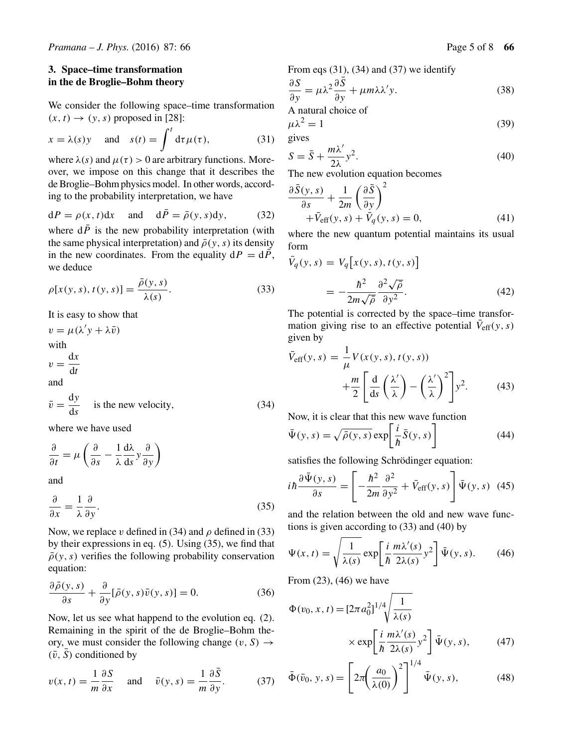### **3. Space–time transformation in the de Broglie–Bohm theory**

We consider the following space–time transformation  $(x, t) \rightarrow (y, s)$  proposed in [28]:

$$
x = \lambda(s)y \quad \text{and} \quad s(t) = \int^t d\tau \mu(\tau), \tag{31}
$$

where  $\lambda(s)$  and  $\mu(\tau) > 0$  are arbitrary functions. Moreover, we impose on this change that it describes the de Broglie–Bohm physics model. In other words, according to the probability interpretation, we have

$$
dP = \rho(x, t)dx \quad \text{and} \quad d\bar{P} = \bar{\rho}(y, s)dy, \tag{32}
$$

where  $d\bar{P}$  is the new probability interpretation (with the same physical interpretation) and  $\bar{\rho}(y, s)$  its density in the new coordinates. From the equality  $dP = d\overline{P}$ , we deduce

$$
\rho[x(y,s), t(y,s)] = \frac{\bar{\rho}(y,s)}{\lambda(s)}.
$$
\n(33)

It is easy to show that

 $v = \mu(\lambda' y + \lambda \bar{v})$ with  $v = \frac{\mathrm{d}x}{\mathrm{d}t}$ and  $\bar{v} = \frac{dy}{ds}$  is the new velocity, (34)

where we have used

$$
\frac{\partial}{\partial t} = \mu \left( \frac{\partial}{\partial s} - \frac{1}{\lambda} \frac{d\lambda}{ds} y \frac{\partial}{\partial y} \right)
$$

and

$$
\frac{\partial}{\partial x} = \frac{1}{\lambda} \frac{\partial}{\partial y}.
$$
\n(35)

Now, we replace v defined in (34) and  $\rho$  defined in (33) by their expressions in eq. (5). Using (35), we find that  $\bar{\rho}(y, s)$  verifies the following probability conservation equation:

$$
\frac{\partial \bar{\rho}(y,s)}{\partial s} + \frac{\partial}{\partial y} [\bar{\rho}(y,s)\bar{v}(y,s)] = 0.
$$
 (36)

Now, let us see what happend to the evolution eq. (2). Remaining in the spirit of the de Broglie–Bohm theory, we must consider the following change  $(v, S) \rightarrow$  $(\bar{v}, \bar{S})$  conditioned by

$$
v(x,t) = \frac{1}{m} \frac{\partial S}{\partial x} \quad \text{and} \quad \bar{v}(y,s) = \frac{1}{m} \frac{\partial \bar{S}}{\partial y}.
$$
 (37)

From eqs 
$$
(31)
$$
,  $(34)$  and  $(37)$  we identify

$$
\frac{\partial S}{\partial y} = \mu \lambda^2 \frac{\partial S}{\partial y} + \mu m \lambda \lambda' y. \tag{38}
$$

A natural choice of

gives

$$
\mu \lambda^2 = 1 \tag{39}
$$

$$
S = \bar{S} + \frac{m\lambda'}{2\lambda}y^2.
$$
 (40)

The new evolution equation becomes

$$
\frac{\partial \bar{S}(y,s)}{\partial s} + \frac{1}{2m} \left(\frac{\partial \bar{S}}{\partial y}\right)^2 + \bar{V}_{eff}(y,s) + \bar{V}_q(y,s) = 0,
$$
\n(41)

where the new quantum potential maintains its usual form

$$
\bar{V}_q(y,s) = V_q\big[x(y,s), t(y,s)\big]
$$

$$
= -\frac{\hbar^2}{2m\sqrt{\rho}} \frac{\partial^2 \sqrt{\rho}}{\partial y^2}.
$$
(42)

The potential is corrected by the space–time transformation giving rise to an effective potential  $V_{\text{eff}}(y, s)$ given by

$$
\bar{V}_{\text{eff}}(y, s) = \frac{1}{\mu} V(x(y, s), t(y, s)) + \frac{m}{2} \left[ \frac{d}{ds} \left( \frac{\lambda'}{\lambda} \right) - \left( \frac{\lambda'}{\lambda} \right)^2 \right] y^2.
$$
 (43)

Now, it is clear that this new wave function

$$
\bar{\Psi}(y,s) = \sqrt{\bar{\rho}(y,s)} \exp\left[\frac{i}{\hbar}\bar{S}(y,s)\right]
$$
(44)

satisfies the following Schrödinger equation:

$$
i\hbar \frac{\partial \bar{\Psi}(y,s)}{\partial s} = \left[ -\frac{\hbar^2}{2m} \frac{\partial^2}{\partial y^2} + \bar{V}_{\text{eff}}(y,s) \right] \bar{\Psi}(y,s) \tag{45}
$$

and the relation between the old and new wave functions is given according to (33) and (40) by

$$
\Psi(x,t) = \sqrt{\frac{1}{\lambda(s)}} \exp\left[\frac{i}{\hbar} \frac{m\lambda'(s)}{2\lambda(s)} y^2\right] \bar{\Psi}(y,s).
$$
 (46)

From (23), (46) we have

$$
\Phi(v_0, x, t) = [2\pi a_0^2]^{1/4} \sqrt{\frac{1}{\lambda(s)}}
$$

$$
\times \exp\left[\frac{i}{\hbar} \frac{m\lambda'(s)}{2\lambda(s)} y^2\right] \bar{\Psi}(y, s), \qquad (47)
$$

$$
\bar{\Phi}(\bar{v}_0, y, s) = \left[2\pi \left(\frac{a_0}{\lambda(0)}\right)^2\right]^{1/4} \bar{\Psi}(y, s), \tag{48}
$$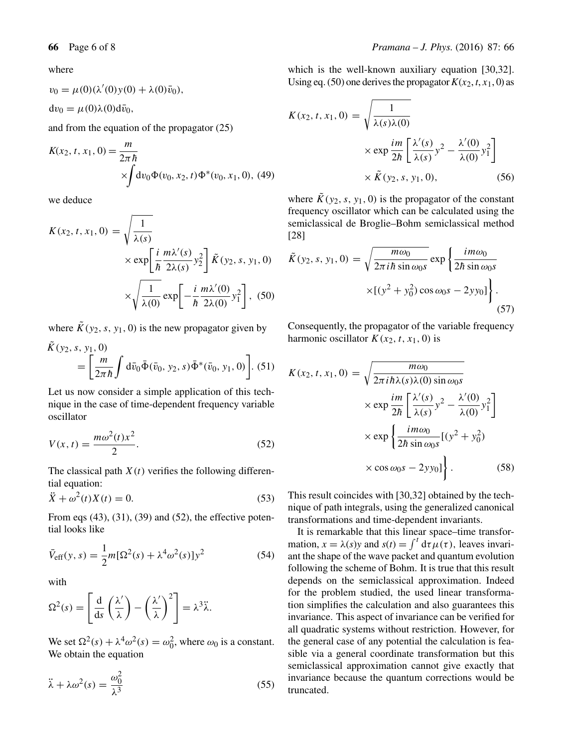$v_0 = \mu(0) (\lambda'(0) y(0) + \lambda(0) \bar{v}_0),$  $dv_0 = \mu(0)\lambda(0)d\bar{v}_0$ ,

and from the equation of the propagator (25)

$$
K(x_2, t, x_1, 0) = \frac{m}{2\pi\hbar}
$$
  
 
$$
\times \int dv_0 \Phi(v_0, x_2, t) \Phi^*(v_0, x_1, 0), (49)
$$

we deduce

$$
K(x_2, t, x_1, 0) = \sqrt{\frac{1}{\lambda(s)}} \times \exp\left[\frac{i}{\hbar} \frac{m\lambda'(s)}{2\lambda(s)} y_2^2\right] \tilde{K}(y_2, s, y_1, 0)
$$

$$
\times \sqrt{\frac{1}{\lambda(0)}} \exp\left[-\frac{i}{\hbar} \frac{m\lambda'(0)}{2\lambda(0)} y_1^2\right], (50)
$$

where  $\tilde{K}(y_2, s, y_1, 0)$  is the new propagator given by

$$
K(y_2, s, y_1, 0)
$$
  
=  $\left[\frac{m}{2\pi\hbar} \int d\bar{v}_0 \bar{\Phi}(\bar{v}_0, y_2, s) \bar{\Phi}^*(\bar{v}_0, y_1, 0)\right]$ . (51)

Let us now consider a simple application of this technique in the case of time-dependent frequency variable oscillator

$$
V(x,t) = \frac{m\omega^2(t)x^2}{2}.
$$
\n
$$
(52)
$$

The classical path  $X(t)$  verifies the following differential equation:

$$
\ddot{X} + \omega^2(t)X(t) = 0.
$$
\n(53)

From eqs  $(43)$ ,  $(31)$ ,  $(39)$  and  $(52)$ , the effective potential looks like

$$
\bar{V}_{\rm eff}(y,s) = \frac{1}{2}m[\Omega^2(s) + \lambda^4 \omega^2(s)]y^2
$$
 (54)

with

$$
\Omega^{2}(s) = \left[\frac{d}{ds}\left(\frac{\lambda'}{\lambda}\right) - \left(\frac{\lambda'}{\lambda}\right)^{2}\right] = \lambda^{3}\ddot{\lambda}.
$$

We set  $\Omega^2(s) + \lambda^4 \omega^2(s) = \omega_0^2$ , where  $\omega_0$  is a constant. We obtain the equation

$$
\ddot{\lambda} + \lambda \omega^2(s) = \frac{\omega_0^2}{\lambda^3} \tag{55}
$$

which is the well-known auxiliary equation [30,32]. Using eq. (50) one derives the propagator  $K(x_2, t, x_1, 0)$  as

$$
K(x_2, t, x_1, 0) = \sqrt{\frac{1}{\lambda(s)\lambda(0)}}
$$
  
 
$$
\times \exp \frac{im}{2\hbar} \left[ \frac{\lambda'(s)}{\lambda(s)} y^2 - \frac{\lambda'(0)}{\lambda(0)} y_1^2 \right]
$$
  
 
$$
\times \tilde{K}(y_2, s, y_1, 0), \qquad (56)
$$

where  $\tilde{K}(y_2, s, y_1, 0)$  is the propagator of the constant frequency oscillator which can be calculated using the semiclassical de Broglie–Bohm semiclassical method [28]

$$
\tilde{K}(y_2, s, y_1, 0) = \sqrt{\frac{m\omega_0}{2\pi i\hbar \sin \omega_0 s}} \exp\left\{\frac{i m\omega_0}{2\hbar \sin \omega_0 s}\right. \left. \times \left[ (y^2 + y_0^2) \cos \omega_0 s - 2yy_0 \right] \right\}.
$$
\n(57)

Consequently, the propagator of the variable frequency harmonic oscillator  $K(x_2, t, x_1, 0)$  is

$$
K(x_2, t, x_1, 0) = \sqrt{\frac{m\omega_0}{2\pi i\hbar\lambda(s)\lambda(0)\sin\omega_0 s}}
$$
  
\n
$$
\times \exp\frac{im}{2\hbar} \left[\frac{\lambda'(s)}{\lambda(s)}y^2 - \frac{\lambda'(0)}{\lambda(0)}y_1^2\right]
$$
  
\n
$$
\times \exp\left\{\frac{im\omega_0}{2\hbar\sin\omega_0 s}[(y^2 + y_0^2)\right\}
$$
  
\n
$$
\times \cos\omega_0 s - 2yy_0]\bigg\}.
$$
 (58)

This result coincides with [30,32] obtained by the technique of path integrals, using the generalized canonical transformations and time-dependent invariants.

It is remarkable that this linear space–time transformation,  $x = \lambda(s)y$  and  $s(t) = \int^t d\tau \mu(\tau)$ , leaves invariant the shape of the wave packet and quantum evolution following the scheme of Bohm. It is true that this result depends on the semiclassical approximation. Indeed for the problem studied, the used linear transformation simplifies the calculation and also guarantees this invariance. This aspect of invariance can be verified for all quadratic systems without restriction. However, for the general case of any potential the calculation is feasible via a general coordinate transformation but this semiclassical approximation cannot give exactly that invariance because the quantum corrections would be truncated.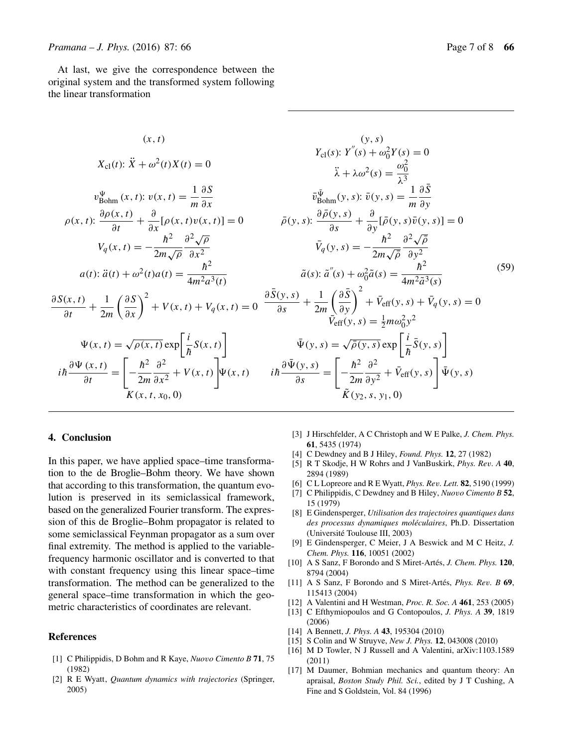At last, we give the correspondence between the original system and the transformed system following the linear transformation

$$
(x, t) \qquad (y, s)
$$
\n
$$
X_{cl}(t): \ddot{X} + \omega^{2}(t)X(t) = 0
$$
\n
$$
\ddot{X} + \omega^{2}(t)X(t) = 0
$$
\n
$$
\ddot{X} + \lambda\omega^{2}(s) = \frac{\omega_{0}^{2}}{\lambda^{3}}
$$
\n
$$
v_{Bohm}^{\Psi}(x, t): v(x, t) = \frac{1}{m} \frac{\partial S}{\partial x}
$$
\n
$$
\ddot{v}_{Bohm}^{\Psi}(y, s): \ddot{v}(y, s) = \frac{1}{m} \frac{\partial S}{\partial y}
$$
\n
$$
\rho(x, t): \frac{\partial \rho(x, t)}{\partial t} + \frac{\partial}{\partial x}[\rho(x, t)v(x, t)] = 0
$$
\n
$$
V_{q}(x, t) = -\frac{\hbar^{2}}{2m\sqrt{\rho}} \frac{\partial^{2} \sqrt{\rho}}{\partial x^{2}}
$$
\n
$$
a(t): \ddot{a}(t) + \omega^{2}(t)a(t) = \frac{\hbar^{2}}{4m^{2}a^{3}(t)}
$$
\n
$$
\frac{\partial S(x, t)}{\partial t} + \frac{1}{2m} \left(\frac{\partial S}{\partial x}\right)^{2} + V(x, t) + V_{q}(x, t) = 0
$$
\n
$$
\frac{\partial S(y, s)}{\partial s} + \frac{1}{2m} \left(\frac{\partial S}{\partial y}\right)^{2} + V(x, t) + V_{q}(x, t) = 0
$$
\n
$$
\frac{\partial S(y, s)}{\partial s} + \frac{1}{2m} \left(\frac{\partial S}{\partial y}\right)^{2} + \tilde{V}_{eff}(y, s) + \tilde{V}_{q}(y, s) = 0
$$
\n
$$
\frac{\partial S(x, t)}{\partial t} + \frac{1}{2m} \left(\frac{\partial S}{\partial x}\right)^{2} + V(x, t) + V_{q}(x, t) = 0
$$
\n
$$
\frac{\partial S(y, s)}{\partial s} + \frac{1}{2m} \left(\frac{\partial S}{\partial y}\right)^{2} + \tilde{V}_{eff}(y, s) + \tilde{V}_{q}(y, s) = 0
$$
\n
$$
\tilde{V}_{eff}(y, s) = \frac{1}{2}m\omega_{0}
$$

#### **4. Conclusion**

In this paper, we have applied space–time transformation to the de Broglie–Bohm theory. We have shown that according to this transformation, the quantum evolution is preserved in its semiclassical framework, based on the generalized Fourier transform. The expression of this de Broglie–Bohm propagator is related to some semiclassical Feynman propagator as a sum over final extremity. The method is applied to the variablefrequency harmonic oscillator and is converted to that with constant frequency using this linear space–time transformation. The method can be generalized to the general space–time transformation in which the geometric characteristics of coordinates are relevant.

#### **References**

- [1] C Philippidis, D Bohm and R Kaye, *Nuo*v*o Cimento B* **71**, 75 (1982)
- [2] R E Wyatt, *Quantum dynamics with trajectories* (Springer, 2005)
- [3] J Hirschfelder, A C Christoph and W E Palke, *J. Chem. Phys.* **61**, 5435 (1974)
- [4] C Dewdney and B J Hiley, *Found. Phys.* **12**, 27 (1982)
- [5] R T Skodje, H W Rohrs and J VanBuskirk, *Phys. Re*v*. A* **40**, 2894 (1989)
- [6] C L Lopreore and R E Wyatt, *Phys. Re*v*. Lett.* **82**, 5190 (1999)
- [7] C Philippidis, C Dewdney and B Hiley, *Nuo*v*o Cimento B* **52**, 15 (1979)
- [8] E Gindensperger, *Utilisation des trajectoires quantiques dans des processus dynamiques moléculaires*, Ph.D. Dissertation (Université Toulouse III, 2003)
- [9] E Gindensperger, C Meier, J A Beswick and M C Heitz, *J. Chem. Phys.* **116**, 10051 (2002)
- [10] A S Sanz, F Borondo and S Miret-Artés, *J. Chem. Phys.* **120**, 8794 (2004)
- [11] A S Sanz, F Borondo and S Miret-Artés, *Phys. Re*v*. B* **69**, 115413 (2004)
- [12] A Valentini and H Westman, *Proc. R. Soc. A* **461**, 253 (2005)
- [13] C Efthymiopoulos and G Contopoulos, *J. Phys. A* **39**, 1819 (2006)
- [14] A Bennett, *J. Phys. A* **43**, 195304 (2010)
- [15] S Colin and W Struyve, *New J. Phys.* **12**, 043008 (2010)
- [16] M D Towler, N J Russell and A Valentini, arXiv:1103.1589 (2011)
- [17] M Daumer, Bohmian mechanics and quantum theory: An apraisal, *Boston Study Phil. Sci.*, edited by J T Cushing, A Fine and S Goldstein, Vol. 84 (1996)